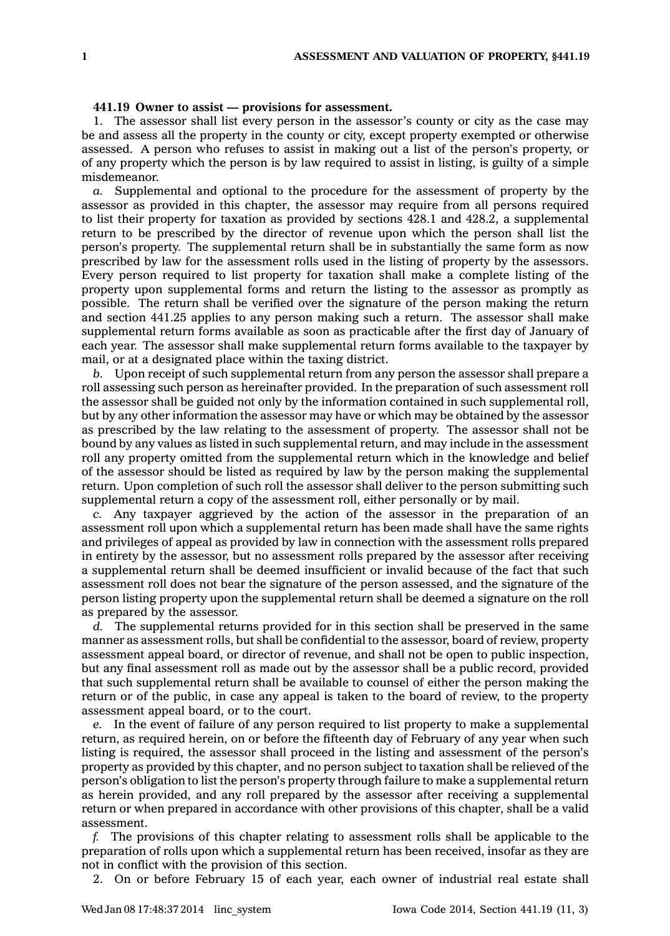## **441.19 Owner to assist — provisions for assessment.**

1. The assessor shall list every person in the assessor's county or city as the case may be and assess all the property in the county or city, except property exempted or otherwise assessed. A person who refuses to assist in making out <sup>a</sup> list of the person's property, or of any property which the person is by law required to assist in listing, is guilty of <sup>a</sup> simple misdemeanor.

*a.* Supplemental and optional to the procedure for the assessment of property by the assessor as provided in this chapter, the assessor may require from all persons required to list their property for taxation as provided by sections 428.1 and 428.2, <sup>a</sup> supplemental return to be prescribed by the director of revenue upon which the person shall list the person's property. The supplemental return shall be in substantially the same form as now prescribed by law for the assessment rolls used in the listing of property by the assessors. Every person required to list property for taxation shall make <sup>a</sup> complete listing of the property upon supplemental forms and return the listing to the assessor as promptly as possible. The return shall be verified over the signature of the person making the return and section 441.25 applies to any person making such <sup>a</sup> return. The assessor shall make supplemental return forms available as soon as practicable after the first day of January of each year. The assessor shall make supplemental return forms available to the taxpayer by mail, or at <sup>a</sup> designated place within the taxing district.

*b.* Upon receipt of such supplemental return from any person the assessor shall prepare <sup>a</sup> roll assessing such person as hereinafter provided. In the preparation of such assessment roll the assessor shall be guided not only by the information contained in such supplemental roll, but by any other information the assessor may have or which may be obtained by the assessor as prescribed by the law relating to the assessment of property. The assessor shall not be bound by any values as listed in such supplemental return, and may include in the assessment roll any property omitted from the supplemental return which in the knowledge and belief of the assessor should be listed as required by law by the person making the supplemental return. Upon completion of such roll the assessor shall deliver to the person submitting such supplemental return <sup>a</sup> copy of the assessment roll, either personally or by mail.

*c.* Any taxpayer aggrieved by the action of the assessor in the preparation of an assessment roll upon which <sup>a</sup> supplemental return has been made shall have the same rights and privileges of appeal as provided by law in connection with the assessment rolls prepared in entirety by the assessor, but no assessment rolls prepared by the assessor after receiving <sup>a</sup> supplemental return shall be deemed insufficient or invalid because of the fact that such assessment roll does not bear the signature of the person assessed, and the signature of the person listing property upon the supplemental return shall be deemed <sup>a</sup> signature on the roll as prepared by the assessor.

*d.* The supplemental returns provided for in this section shall be preserved in the same manner as assessment rolls, but shall be confidential to the assessor, board of review, property assessment appeal board, or director of revenue, and shall not be open to public inspection, but any final assessment roll as made out by the assessor shall be <sup>a</sup> public record, provided that such supplemental return shall be available to counsel of either the person making the return or of the public, in case any appeal is taken to the board of review, to the property assessment appeal board, or to the court.

*e.* In the event of failure of any person required to list property to make <sup>a</sup> supplemental return, as required herein, on or before the fifteenth day of February of any year when such listing is required, the assessor shall proceed in the listing and assessment of the person's property as provided by this chapter, and no person subject to taxation shall be relieved of the person's obligation to list the person's property through failure to make <sup>a</sup> supplemental return as herein provided, and any roll prepared by the assessor after receiving <sup>a</sup> supplemental return or when prepared in accordance with other provisions of this chapter, shall be <sup>a</sup> valid assessment.

*f.* The provisions of this chapter relating to assessment rolls shall be applicable to the preparation of rolls upon which <sup>a</sup> supplemental return has been received, insofar as they are not in conflict with the provision of this section.

2. On or before February 15 of each year, each owner of industrial real estate shall